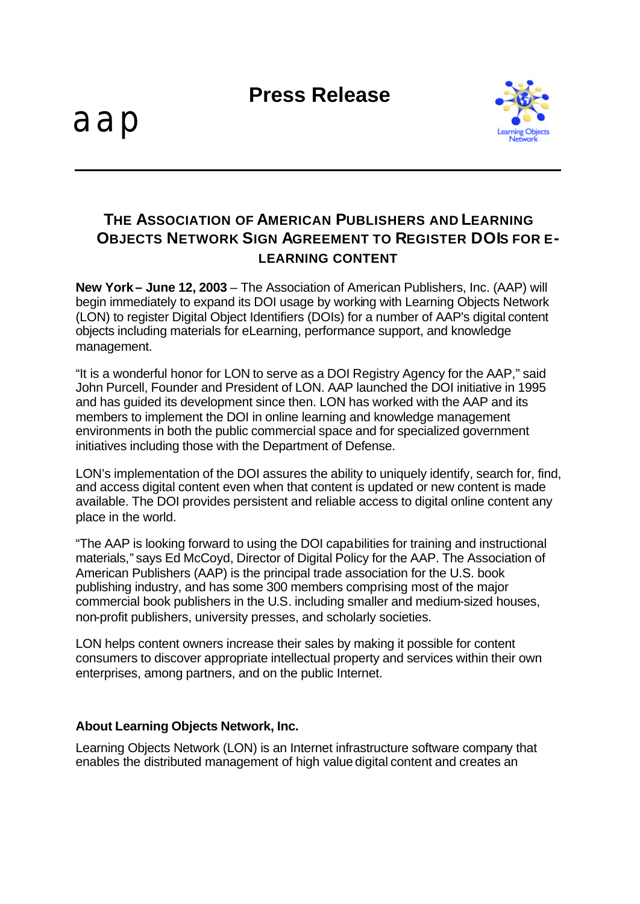**Press Release**





## **THE ASSOCIATION OF AMERICAN PUBLISHERS AND LEARNING OBJECTS NETWORK SIGN AGREEMENT TO REGISTER DOIS FOR E-LEARNING CONTENT**

**New York – June 12, 2003** – The Association of American Publishers, Inc. (AAP) will begin immediately to expand its DOI usage by working with Learning Objects Network (LON) to register Digital Object Identifiers (DOIs) for a number of AAP's digital content objects including materials for eLearning, performance support, and knowledge management.

"It is a wonderful honor for LON to serve as a DOI Registry Agency for the AAP," said John Purcell, Founder and President of LON. AAP launched the DOI initiative in 1995 and has guided its development since then. LON has worked with the AAP and its members to implement the DOI in online learning and knowledge management environments in both the public commercial space and for specialized government initiatives including those with the Department of Defense.

LON's implementation of the DOI assures the ability to uniquely identify, search for, find, and access digital content even when that content is updated or new content is made available. The DOI provides persistent and reliable access to digital online content any place in the world.

"The AAP is looking forward to using the DOI capabilities for training and instructional materials," says Ed McCoyd, Director of Digital Policy for the AAP. The Association of American Publishers (AAP) is the principal trade association for the U.S. book publishing industry, and has some 300 members comprising most of the major commercial book publishers in the U.S. including smaller and medium-sized houses, non-profit publishers, university presses, and scholarly societies.

LON helps content owners increase their sales by making it possible for content consumers to discover appropriate intellectual property and services within their own enterprises, among partners, and on the public Internet.

## **About Learning Objects Network, Inc.**

Learning Objects Network (LON) is an Internet infrastructure software company that enables the distributed management of high value digital content and creates an